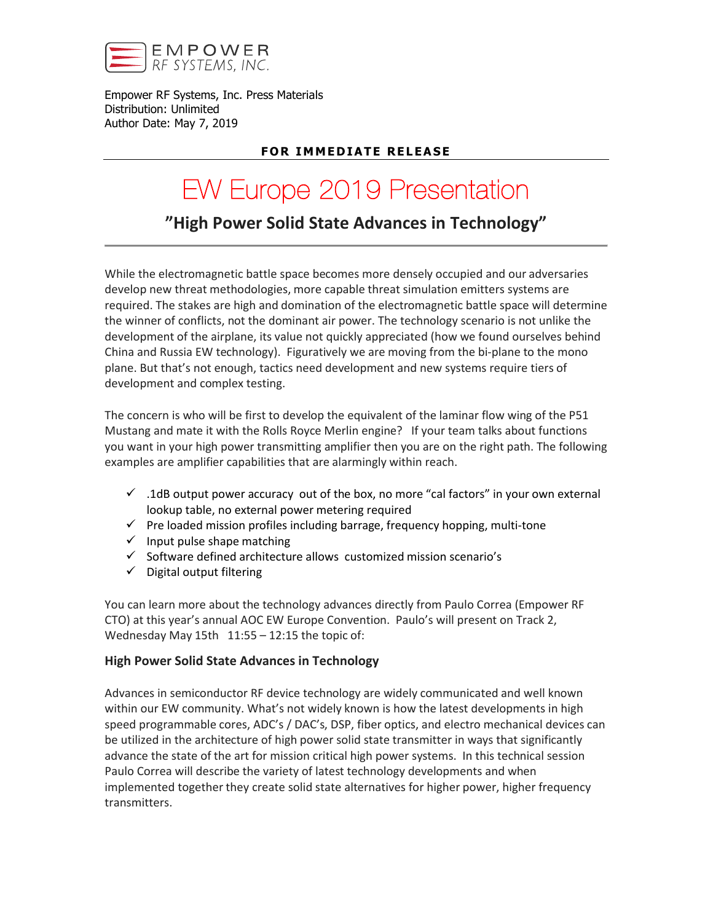

Empower RF Systems, Inc. Press Materials Distribution: Unlimited Author Date: May 7, 2019

# **FOR IMMEDIATE RELEASE**

# EW Europe 2019 Presentation

"High Power Solid State Advances in Technology"

While the electromagnetic battle space becomes more densely occupied and our adversaries develop new threat methodologies, more capable threat simulation emitters systems are required. The stakes are high and domination of the electromagnetic battle space will determine the winner of conflicts, not the dominant air power. The technology scenario is not unlike the development of the airplane, its value not quickly appreciated (how we found ourselves behind China and Russia EW technology). Figuratively we are moving from the bi-plane to the mono plane. But that's not enough, tactics need development and new systems require tiers of development and complex testing.

The concern is who will be first to develop the equivalent of the laminar flow wing of the P51 Mustang and mate it with the Rolls Royce Merlin engine? If your team talks about functions you want in your high power transmitting amplifier then you are on the right path. The following examples are amplifier capabilities that are alarmingly within reach.

- $\checkmark$  .1dB output power accuracy out of the box, no more "cal factors" in your own external lookup table, no external power metering required
- $\checkmark$  Pre loaded mission profiles including barrage, frequency hopping, multi-tone
- $\checkmark$  Input pulse shape matching
- $\checkmark$  Software defined architecture allows customized mission scenario's
- $\checkmark$  Digital output filtering

You can learn more about the technology advances directly from Paulo Correa (Empower RF CTO) at this year's annual AOC EW Europe Convention. Paulo's will present on Track 2, Wednesday May 15th  $11:55 - 12:15$  the topic of:

#### High Power Solid State Advances in Technology

Advances in semiconductor RF device technology are widely communicated and well known within our EW community. What's not widely known is how the latest developments in high speed programmable cores, ADC's / DAC's, DSP, fiber optics, and electro mechanical devices can be utilized in the architecture of high power solid state transmitter in ways that significantly advance the state of the art for mission critical high power systems. In this technical session Paulo Correa will describe the variety of latest technology developments and when implemented together they create solid state alternatives for higher power, higher frequency transmitters.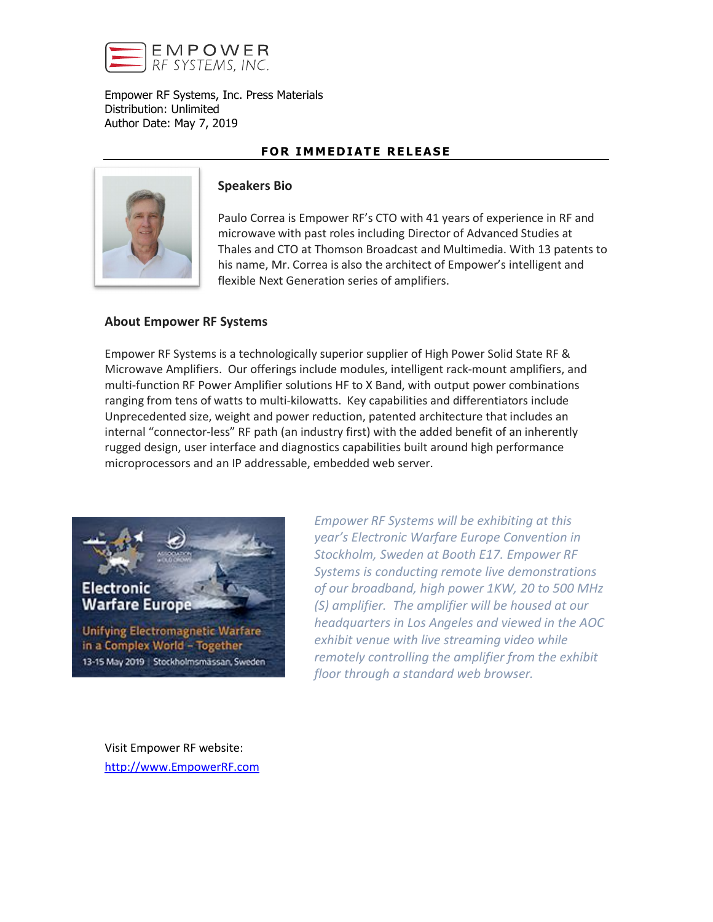

Empower RF Systems, Inc. Press Materials Distribution: Unlimited Author Date: May 7, 2019

## FOR IMMEDIATE RELEASE



#### Speakers Bio

Paulo Correa is Empower RF's CTO with 41 years of experience in RF and microwave with past roles including Director of Advanced Studies at Thales and CTO at Thomson Broadcast and Multimedia. With 13 patents to his name, Mr. Correa is also the architect of Empower's intelligent and flexible Next Generation series of amplifiers.

#### About Empower RF Systems

Empower RF Systems is a technologically superior supplier of High Power Solid State RF & Microwave Amplifiers. Our offerings include modules, intelligent rack-mount amplifiers, and multi-function RF Power Amplifier solutions HF to X Band, with output power combinations ranging from tens of watts to multi-kilowatts. Key capabilities and differentiators include Unprecedented size, weight and power reduction, patented architecture that includes an internal "connector-less" RF path (an industry first) with the added benefit of an inherently rugged design, user interface and diagnostics capabilities built around high performance microprocessors and an IP addressable, embedded web server.



*Empower RF Systems will be exhibiting at this year's Electronic Warfare Europe Convention in Stockholm, Sweden at Booth E17. Empower RF Systems is conducting remote live demonstrations of our broadband, high power 1KW, 20 to 500 MHz (S) amplifier. The amplifier will be housed at our headquarters in Los Angeles and viewed in the AOC exhibit venue with live streaming video while remotely controlling the amplifier from the exhibit floor through a standard web browser.*

Visit Empower RF website: [http://www.EmpowerRF.com](http://www.empowerrf.com/)